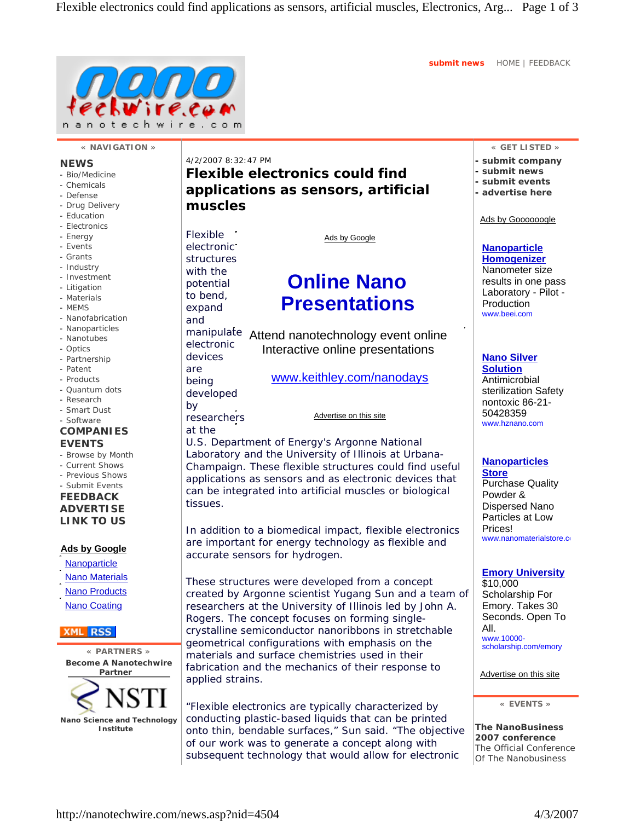**submit news** HOME | FEEDBACK



### **« NAVIGATION »**

### **NEWS**

- Bio/Medicine
- Chemicals
- Defense
- Drug Delivery
- Education
- Electronics
- Energy - Events
- Grants
- Industry
- Investment
- Litigation
- Materials
- MEMS
- Nanofabrication
- Nanoparticles
- Nanotubes
- Optics
- Partnership
- Patent - Products
- Quantum dots
- Research
- Smart Dust
- Software

### **COMPANIES EVENTS**

- Browse by Month
- Current Shows
- Previous Shows - Submit Events
- **FEEDBACK**

**ADVERTISE LINK TO US**

### **Ads by Google**

**Nanoparticle**  Nano Materials Nano Products Nano Coating

### **XML** RSS

**« PARTNERS » Become A Nanotechwire Partner**



4/2/2007 8:32:47 PM **Flexible electronics could find applications as sensors, artificial muscles**

Flexible electronic structures with the potential to bend, expand and electronic devices are being developed by researchers at the tissues.

Ads by Google

# **Online Nano Presentations**

manipulate Attend nanotechnology event online Interactive online presentations

www.keithley.com/nanodays

Advertise on this site

U.S. Department of Energy's Argonne National Laboratory and the University of Illinois at Urbana-Champaign. These flexible structures could find useful applications as sensors and as electronic devices that can be integrated into artificial muscles or biological

In addition to a biomedical impact, flexible electronics are important for energy technology as flexible and accurate sensors for hydrogen.

These structures were developed from a concept created by Argonne scientist Yugang Sun and a team of researchers at the University of Illinois led by John A. Rogers. The concept focuses on forming singlecrystalline semiconductor nanoribbons in stretchable geometrical configurations with emphasis on the materials and surface chemistries used in their fabrication and the mechanics of their response to applied strains.

"Flexible electronics are typically characterized by conducting plastic-based liquids that can be printed onto thin, bendable surfaces," Sun said. "The objective of our work was to generate a concept along with subsequent technology that would allow for electronic

### **« GET LISTED »**

- **submit company**
- **submit news**
- **submit events**
- **advertise here**

Ads by Goooooogle

### **Nanoparticle Homogenizer**

Nanometer size results in one pass Laboratory - Pilot - Production www.beei.com

# **Nano Silver**

**Solution** Antimicrobial sterilization Safety nontoxic 86-21- 50428359 www.hznano.com

# **Nanoparticles**

**Store** Purchase Quality Powder & Dispersed Nano Particles at Low Prices! www.nanomaterialstore.co

### **Emory University**

\$10,000 Scholarship For Emory. Takes 30 Seconds. Open To All.

www.10000 scholarship.com/emory

### Advertise on this site

**« EVENTS »**

**The NanoBusiness 2007 conference** The Official Conference Of The Nanobusiness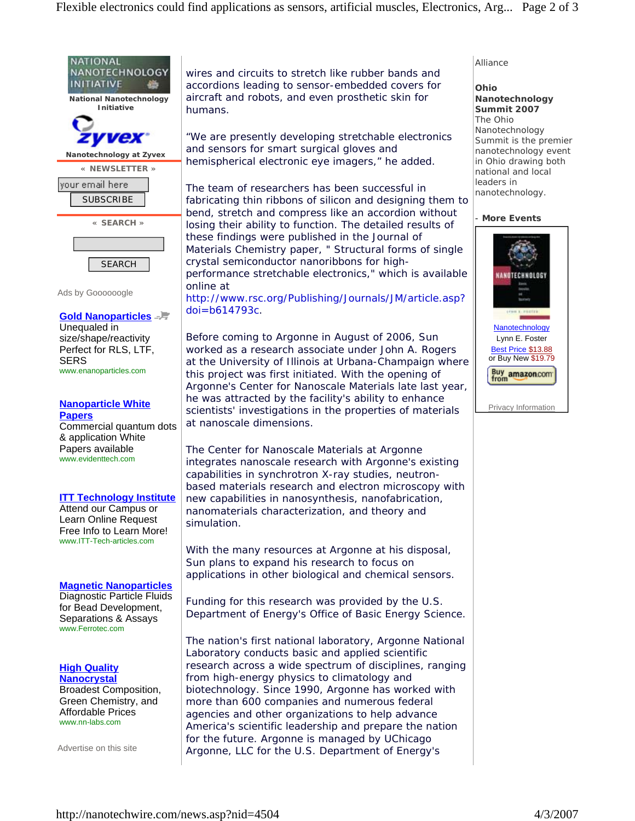

### **Nanoparticle White Papers**

Commercial quantum dots & application White Papers available www.evidenttech.com

## **ITT Technology Institute**

Attend our Campus or Learn Online Request Free Info to Learn More! www.ITT-Tech-articles.com

# **Magnetic Nanoparticles**

Diagnostic Particle Fluids for Bead Development, Separations & Assays www.Ferrotec.com

**High Quality Nanocrystal** Broadest Composition, Green Chemistry, and Affordable Prices www.nn-labs.com

Advertise on this site

wires and circuits to stretch like rubber bands and accordions leading to sensor-embedded covers for aircraft and robots, and even prosthetic skin for humans.

"We are presently developing stretchable electronics and sensors for smart surgical gloves and hemispherical electronic eye imagers," he added.

The team of researchers has been successful in fabricating thin ribbons of silicon and designing them to bend, stretch and compress like an accordion without losing their ability to function. The detailed results of these findings were published in the Journal of Materials Chemistry paper, " Structural forms of single crystal semiconductor nanoribbons for highperformance stretchable electronics," which is available online at

http://www.rsc.org/Publishing/Journals/JM/article.asp? doi=b614793c.

Before coming to Argonne in August of 2006, Sun worked as a research associate under John A. Rogers at the University of Illinois at Urbana-Champaign where this project was first initiated. With the opening of Argonne's Center for Nanoscale Materials late last year, he was attracted by the facility's ability to enhance scientists' investigations in the properties of materials at nanoscale dimensions.

The Center for Nanoscale Materials at Argonne integrates nanoscale research with Argonne's existing capabilities in synchrotron X-ray studies, neutronbased materials research and electron microscopy with new capabilities in nanosynthesis, nanofabrication, nanomaterials characterization, and theory and simulation.

With the many resources at Argonne at his disposal, Sun plans to expand his research to focus on applications in other biological and chemical sensors.

Funding for this research was provided by the U.S. Department of Energy's Office of Basic Energy Science.

The nation's first national laboratory, Argonne National Laboratory conducts basic and applied scientific research across a wide spectrum of disciplines, ranging from high-energy physics to climatology and biotechnology. Since 1990, Argonne has worked with more than 600 companies and numerous federal agencies and other organizations to help advance America's scientific leadership and prepare the nation for the future. Argonne is managed by UChicago Argonne, LLC for the U.S. Department of Energy's

# Alliance

**Ohio Nanotechnology Summit 2007** The Ohio Nanotechnology Summit is the premier nanotechnology event in Ohio drawing both national and local leaders in nanotechnology.

# **More Events**



Lynn E. Foster Best Price \$13.88 or Buy New \$19.79

Privacy Information

Buy amazon.com